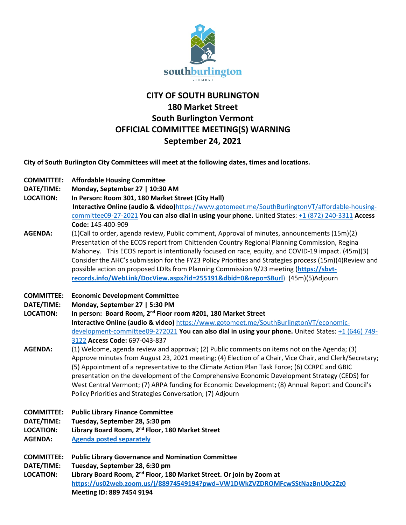

## **CITY OF SOUTH BURLINGTON 180 Market Street South Burlington Vermont OFFICIAL COMMITTEE MEETING(S) WARNING September 24, 2021**

**City of South Burlington City Committees will meet at the following dates, times and locations.** 

- **COMMITTEE: Affordable Housing Committee**
- **DATE/TIME: Monday, September 27 | 10:30 AM**
- **LOCATION: In Person: Room 301, 180 Market Street (City Hall)**
	- **Interactive Online (audio & video)**[https://www.gotomeet.me/SouthBurlingtonVT/affordable-housing](https://www.gotomeet.me/SouthBurlingtonVT/affordable-housing-committee09-27-2021)[committee09-27-2021](https://www.gotomeet.me/SouthBurlingtonVT/affordable-housing-committee09-27-2021) **You can also dial in using your phone.** United States[: +1 \(872\) 240-3311](tel:+18722403311,,145400909) **Access Code:** 145-400-909
- **AGENDA:** (1)Call to order, agenda review, Public comment, Approval of minutes, announcements (15m)(2) Presentation of the ECOS report from Chittenden Country Regional Planning Commission, Regina Mahoney. This ECOS report is intentionally focused on race, equity, and COVID-19 impact. (45m)(3) Consider the AHC's submission for the FY23 Policy Priorities and Strategies process (15m)(4)Review and possible action on proposed LDRs from Planning Commission 9/23 meeting (**[https://sbvt](https://urldefense.proofpoint.com/v2/url?u=https-3A__sbvt-2Drecords.info_WebLink_DocView.aspx-3Fid-3D255191-26dbid-3D0-26repo-3DSBurl&d=DwMFaQ&c=euGZstcaTDllvimEN8b7jXrwqOf-v5A_CdpgnVfiiMM&r=DdaPE49VMIXNxuFjm2o2rphCdDCj9gtz6bYg5fh0wK0&m=lR5Wzc2vSSE2k5hBpj1fvvFF1UVx57he2OvLKT1j_xw&s=BA6y4LQd6XepsS62HvPqmLTka4aI_vbFSMKjwm0btPk&e=)[records.info/WebLink/DocView.aspx?id=255191&dbid=0&repo=SBurl](https://urldefense.proofpoint.com/v2/url?u=https-3A__sbvt-2Drecords.info_WebLink_DocView.aspx-3Fid-3D255191-26dbid-3D0-26repo-3DSBurl&d=DwMFaQ&c=euGZstcaTDllvimEN8b7jXrwqOf-v5A_CdpgnVfiiMM&r=DdaPE49VMIXNxuFjm2o2rphCdDCj9gtz6bYg5fh0wK0&m=lR5Wzc2vSSE2k5hBpj1fvvFF1UVx57he2OvLKT1j_xw&s=BA6y4LQd6XepsS62HvPqmLTka4aI_vbFSMKjwm0btPk&e=)**) (45m)(5)Adjourn
- **COMMITTEE: Economic Development Committee**
- **DATE/TIME: Monday, September 27 | 5:30 PM**
- **LOCATION: In person: Board Room, 2nd Floor room #201, 180 Market Street Interactive Online (audio & video)** [https://www.gotomeet.me/SouthBurlingtonVT/economic](https://www.gotomeet.me/SouthBurlingtonVT/economic-development-committee09-272021)[development-committee09-272021](https://www.gotomeet.me/SouthBurlingtonVT/economic-development-committee09-272021) **You can also dial in using your phone.** United States: [+1 \(646\) 749-](tel:+16467493122,,697043837) [3122](tel:+16467493122,,697043837) **Access Code:** 697-043-837
- **AGENDA:** (1) Welcome, agenda review and approval; (2) Public comments on items not on the Agenda; (3) Approve minutes from August 23, 2021 meeting; (4) Election of a Chair, Vice Chair, and Clerk/Secretary; (5) Appointment of a representative to the Climate Action Plan Task Force; (6) CCRPC and GBIC presentation on the development of the Comprehensive Economic Development Strategy (CEDS) for West Central Vermont; (7) ARPA funding for Economic Development; (8) Annual Report and Council's Policy Priorities and Strategies Conversation; (7) Adjourn
- **COMMITTEE: Public Library Finance Committee**

**DATE/TIME: Tuesday, September 28, 5:30 pm**

**LOCATION: Library Board Room, 2nd Floor, 180 Market Street**

**AGENDA: [Agenda posted separately](https://sbvt-records.info/WebLink/DocView.aspx?id=255473&dbid=0&repo=SBurl)**

**COMMITTEE: Public Library Governance and Nomination Committee**

- **DATE/TIME: Tuesday, September 28, 6:30 pm**
- **LOCATION: Library Board Room, 2nd Floor, 180 Market Street. Or join by Zoom at <https://us02web.zoom.us/j/88974549194?pwd=VW1DWkZVZDROMFcwSStNazBnU0c2Zz0> Meeting ID: 889 7454 9194**